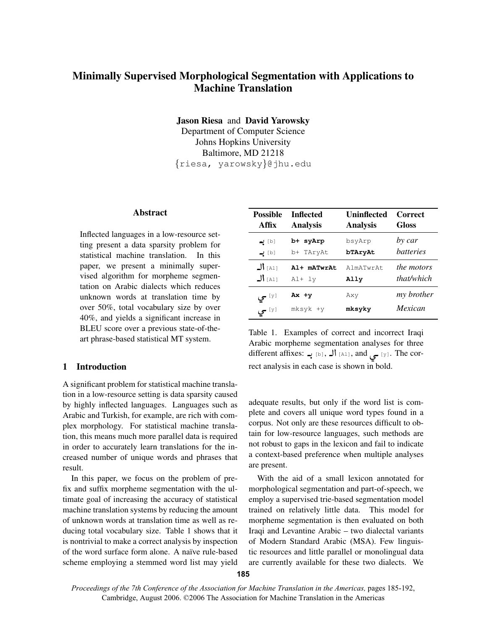# Minimally Supervised Morphological Segmentation with Applications to Machine Translation

Jason Riesa and David Yarowsky

Department of Computer Science Johns Hopkins University Baltimore, MD 21218 {riesa, yarowsky}@jhu.edu

#### Abstract

Inflected languages in a low-resource setting present a data sparsity problem for statistical machine translation. In this paper, we present a minimally supervised algorithm for morpheme segmentation on Arabic dialects which reduces unknown words at translation time by over 50%, total vocabulary size by over 40%, and yields a significant increase in BLEU score over a previous state-of-theart phrase-based statistical MT system.

## 1 Introduction

A significant problem for statistical machine translation in a low-resource setting is data sparsity caused by highly inflected languages. Languages such as Arabic and Turkish, for example, are rich with complex morphology. For statistical machine translation, this means much more parallel data is required in order to accurately learn translations for the increased number of unique words and phrases that result.

In this paper, we focus on the problem of prefix and suffix morpheme segmentation with the ultimate goal of increasing the accuracy of statistical machine translation systems by reducing the amount of unknown words at translation time as well as reducing total vocabulary size. Table 1 shows that it is nontrivial to make a correct analysis by inspection of the word surface form alone. A naïve rule-based scheme employing a stemmed word list may yield

| <b>Possible</b> | <b>Inflected</b> | Uninflected     | <b>Correct</b>    |
|-----------------|------------------|-----------------|-------------------|
| Affix           | <b>Analysis</b>  | <b>Analysis</b> | Gloss             |
| [b] ب           | b+ syArp         | bsyArp          | by car            |
| [b] ب <b>ے</b>  | b+ TAryAt        | bTAryAt         | <i>batteries</i>  |
| $J _{[A1]}$     | Al+ mATwrAt      | AlmATwrAt       | <i>the motors</i> |
| $J _{[A1]}$     | $Al+1y$          | Ally            | that/which        |
| ∃⊻ا –ي          | $Ax +y$          | Axy             | my brother        |
| آ⊻ا –ي          | mksyk +y         | mksyky          | <i>Mexican</i>    |

Table 1. Examples of correct and incorrect Iraqi Arabic morpheme segmentation analyses for three different affixes: الہ [b],  $\Box$  [al], and  $\Box$  [y]. The correct analysis in each case is shown in bold.

adequate results, but only if the word list is complete and covers all unique word types found in a corpus. Not only are these resources difficult to obtain for low-resource languages, such methods are not robust to gaps in the lexicon and fail to indicate a context-based preference when multiple analyses are present.

With the aid of a small lexicon annotated for morphological segmentation and part-of-speech, we employ a supervised trie-based segmentation model trained on relatively little data. This model for morpheme segmentation is then evaluated on both Iraqi and Levantine Arabic – two dialectal variants of Modern Standard Arabic (MSA). Few linguistic resources and little parallel or monolingual data are currently available for these two dialects. We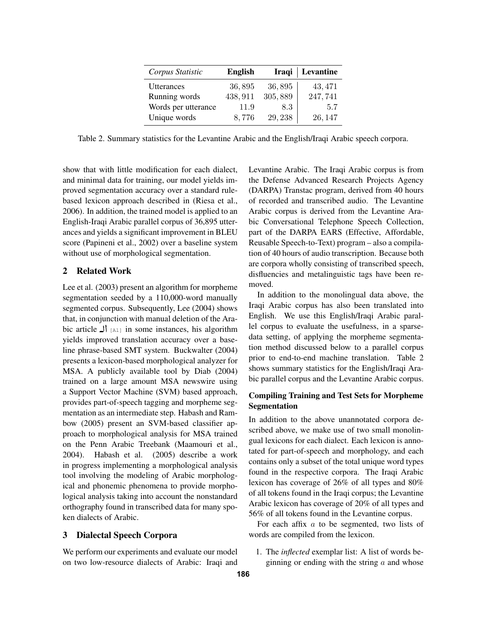| Corpus Statistic    | <b>English</b> |         | Iraqi   Levantine |
|---------------------|----------------|---------|-------------------|
| Utterances          | 36,895         | 36,895  | 43, 471           |
| Running words       | 438, 911       | 305,889 | 247,741           |
| Words per utterance | 11.9           | 8.3     | 5.7               |
| Unique words        | 8,776          | 29, 238 | 26, 147           |

Table 2. Summary statistics for the Levantine Arabic and the English/Iraqi Arabic speech corpora.

show that with little modification for each dialect, and minimal data for training, our model yields improved segmentation accuracy over a standard rulebased lexicon approach described in (Riesa et al., 2006). In addition, the trained model is applied to an English-Iraqi Arabic parallel corpus of 36,895 utterances and yields a significant improvement in BLEU score (Papineni et al., 2002) over a baseline system without use of morphological segmentation.

# 2 Related Work

Lee et al. (2003) present an algorithm for morpheme segmentation seeded by a 110,000-word manually segmented corpus. Subsequently, Lee (2004) shows that, in conjunction with manual deletion of the Arabic article  $\prod_{A=1}^{\infty}$  in some instances, his algorithm yields improved translation accuracy over a baseline phrase-based SMT system. Buckwalter (2004) presents a lexicon-based morphological analyzer for MSA. A publicly available tool by Diab (2004) trained on a large amount MSA newswire using a Support Vector Machine (SVM) based approach, provides part-of-speech tagging and morpheme segmentation as an intermediate step. Habash and Rambow (2005) present an SVM-based classifier approach to morphological analysis for MSA trained on the Penn Arabic Treebank (Maamouri et al., 2004). Habash et al. (2005) describe a work in progress implementing a morphological analysis tool involving the modeling of Arabic morphological and phonemic phenomena to provide morphological analysis taking into account the nonstandard orthography found in transcribed data for many spoken dialects of Arabic.

## 3 Dialectal Speech Corpora

We perform our experiments and evaluate our model on two low-resource dialects of Arabic: Iraqi and

Levantine Arabic. The Iraqi Arabic corpus is from the Defense Advanced Research Projects Agency (DARPA) Transtac program, derived from 40 hours of recorded and transcribed audio. The Levantine Arabic corpus is derived from the Levantine Arabic Conversational Telephone Speech Collection, part of the DARPA EARS (Effective, Affordable, Reusable Speech-to-Text) program – also a compilation of 40 hours of audio transcription. Because both are corpora wholly consisting of transcribed speech, disfluencies and metalinguistic tags have been removed.

In addition to the monolingual data above, the Iraqi Arabic corpus has also been translated into English. We use this English/Iraqi Arabic parallel corpus to evaluate the usefulness, in a sparsedata setting, of applying the morpheme segmentation method discussed below to a parallel corpus prior to end-to-end machine translation. Table 2 shows summary statistics for the English/Iraqi Arabic parallel corpus and the Levantine Arabic corpus.

# Compiling Training and Test Sets for Morpheme Segmentation

In addition to the above unannotated corpora described above, we make use of two small monolingual lexicons for each dialect. Each lexicon is annotated for part-of-speech and morphology, and each contains only a subset of the total unique word types found in the respective corpora. The Iraqi Arabic lexicon has coverage of 26% of all types and 80% of all tokens found in the Iraqi corpus; the Levantine Arabic lexicon has coverage of 20% of all types and 56% of all tokens found in the Levantine corpus.

For each affix  $a$  to be segmented, two lists of words are compiled from the lexicon.

1. The *inflected* exemplar list: A list of words beginning or ending with the string  $\alpha$  and whose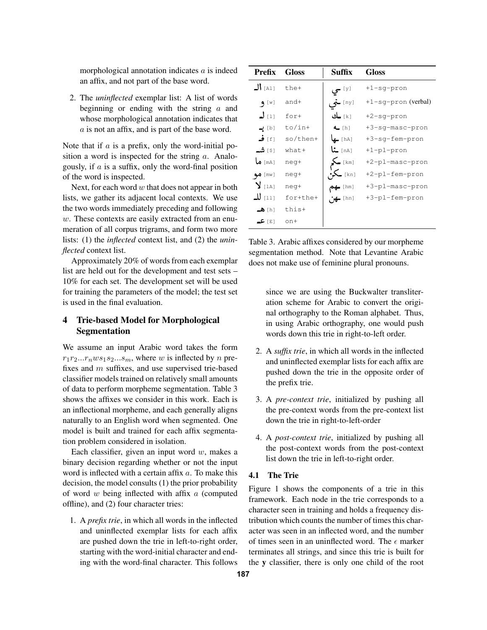morphological annotation indicates a is indeed an affix, and not part of the base word.

2. The *uninflected* exemplar list: A list of words beginning or ending with the string  $\alpha$  and whose morphological annotation indicates that a is not an affix, and is part of the base word.

Note that if  $a$  is a prefix, only the word-initial position a word is inspected for the string  $a$ . Analogously, if  $\alpha$  is a suffix, only the word-final position of the word is inspected.

Next, for each word  $w$  that does not appear in both lists, we gather its adjacent local contexts. We use the two words immediately preceding and following  $w$ . These contexts are easily extracted from an enumeration of all corpus trigrams, and form two more lists: (1) the *inflected* context list, and (2) the *uninflected* context list.

Approximately 20% of words from each exemplar list are held out for the development and test sets – 10% for each set. The development set will be used for training the parameters of the model; the test set is used in the final evaluation.

# 4 Trie-based Model for Morphological Segmentation

We assume an input Arabic word takes the form  $r_1r_2...r_nws_1s_2...s_m$ , where w is inflected by n prefixes and m suffixes, and use supervised trie-based classifier models trained on relatively small amounts of data to perform morpheme segmentation. Table 3 shows the affixes we consider in this work. Each is an inflectional morpheme, and each generally aligns naturally to an English word when segmented. One model is built and trained for each affix segmentation problem considered in isolation.

Each classifier, given an input word  $w$ , makes a binary decision regarding whether or not the input word is inflected with a certain affix a. To make this decision, the model consults (1) the prior probability of word  $w$  being inflected with affix  $a$  (computed offline), and (2) four character tries:

1. A *prefix trie*, in which all words in the inflected and uninflected exemplar lists for each affix are pushed down the trie in left-to-right order, starting with the word-initial character and ending with the word-final character. This follows

| <b>Prefix</b>        | <b>Gloss</b> | Suffix                 | Gloss               |
|----------------------|--------------|------------------------|---------------------|
| $J _{[A1]}$          | the+         | ا⊻ا <del>ع</del> ي     | $+1$ -sg-pron       |
| 9 [W]                | and+         | ry] خی                 | +1-sg-pron (verbal) |
| $J_{[1]}$            | $for+$       | [k] ـك                 | $+2$ -sq-pron       |
| [b] پ                | $to/in+$     | $L$ [h]                | +3-sq-masc-pron     |
| [f] ف                | so/then+     | [hA] <b>_ها</b>        | +3-sq-fem-pron      |
| s) شە                | $what+$      | na] منا                | +1-pl-pron          |
| [ma] ما              | neg+         | $\sum$ [km]            | +2-pl-masc-pron     |
| $\bullet$ [mw]       | neq+         | [kn] ہ <b>ک∙</b>       | +2-pl-fem-pron      |
| $\sum$ [1A]          | neg+         | $\leftrightarrow$ [hm] | +3-pl-masc-pron     |
| رىن للە              | for+the+     | $\mathbf{u}$ (hn)      | +3-pl-fem-pron      |
| $\blacktriangle$ [h] | this+        |                        |                     |
| ⊺ء ا عــ             | $n+$         |                        |                     |

Table 3. Arabic affixes considered by our morpheme segmentation method. Note that Levantine Arabic does not make use of feminine plural pronouns.

since we are using the Buckwalter transliteration scheme for Arabic to convert the original orthography to the Roman alphabet. Thus, in using Arabic orthography, one would push words down this trie in right-to-left order.

- 2. A *suffix trie*, in which all words in the inflected and uninflected exemplar lists for each affix are pushed down the trie in the opposite order of the prefix trie.
- 3. A *pre-context trie*, initialized by pushing all the pre-context words from the pre-context list down the trie in right-to-left-order
- 4. A *post-context trie*, initialized by pushing all the post-context words from the post-context list down the trie in left-to-right order.

#### 4.1 The Trie

Figure 1 shows the components of a trie in this framework. Each node in the trie corresponds to a character seen in training and holds a frequency distribution which counts the number of times this character was seen in an inflected word, and the number of times seen in an uninflected word. The  $\epsilon$  marker terminates all strings, and since this trie is built for the y classifier, there is only one child of the root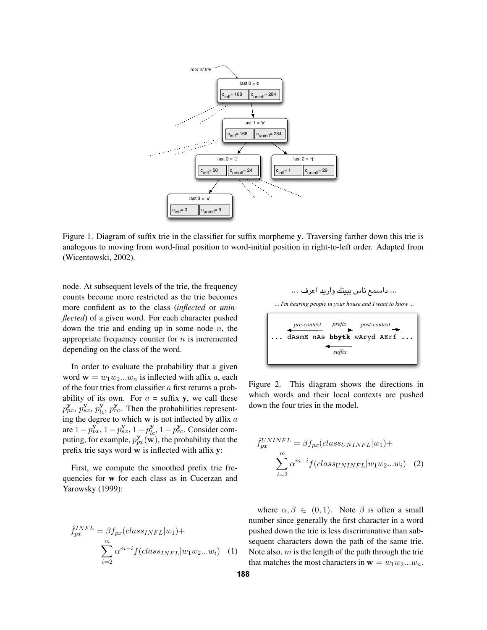

Figure 1. Diagram of suffix trie in the classifier for suffix morpheme y. Traversing farther down this trie is analogous to moving from word-final position to word-initial position in right-to-left order. Adapted from (Wicentowski, 2002).

node. At subsequent levels of the trie, the frequency counts become more restricted as the trie becomes more confident as to the class (*inflected* or *uninflected*) of a given word. For each character pushed down the trie and ending up in some node  $n$ , the appropriate frequency counter for  $n$  is incremented depending on the class of the word.

In order to evaluate the probability that a given word  $\mathbf{w} = w_1 w_2 ... w_n$  is inflected with affix a, each of the four tries from classifier a first returns a probability of its own. For  $a = \text{suffix } y$ , we call these  $p_{px}^{\mathbf{y}}, p_{sx}^{\mathbf{y}}, p_{lc}^{\mathbf{y}}, p_{rc}^{\mathbf{y}}$ . Then the probabilities representing the degree to which  $w$  is not inflected by affix  $a$ are  $1-p_{px}^y$ ,  $1-p_{sx}^y$ ,  $1-p_{lc}^y$ ,  $1-p_{rc}^y$ . Consider computing, for example,  $p_{px}^{y}(\mathbf{w})$ , the probability that the prefix trie says word w is inflected with affix y:

First, we compute the smoothed prefix trie frequencies for w for each class as in Cucerzan and Yarowsky (1999):

$$
\hat{f}_{px}^{INFL} = \beta f_{px}(class_{INFL}|w_1) + \sum_{i=2}^{m} \alpha^{m-i} f(class_{INFL}|w_1w_2...w_i)
$$
 (1)

... dAsmE nAs **bbytk** wAryd AErf ... *prefix suffix pre-context post-context* ... 432" 10/". -,+\*) ('& %\$#"! ... *... I'm hearing people in your house and I want to know ...*

Figure 2. This diagram shows the directions in which words and their local contexts are pushed down the four tries in the model.

$$
\hat{f}_{px}^{UNINFL} = \beta f_{px}(class_{UNINFL}|w_1) + \sum_{i=2}^{m} \alpha^{m-i} f(class_{UNINFL}|w_1w_2...w_i)
$$
 (2)

where  $\alpha, \beta \in (0, 1)$ . Note  $\beta$  is often a small number since generally the first character in a word pushed down the trie is less discriminative than subsequent characters down the path of the same trie. Note also,  $m$  is the length of the path through the trie that matches the most characters in  $\mathbf{w} = w_1w_2...w_n$ .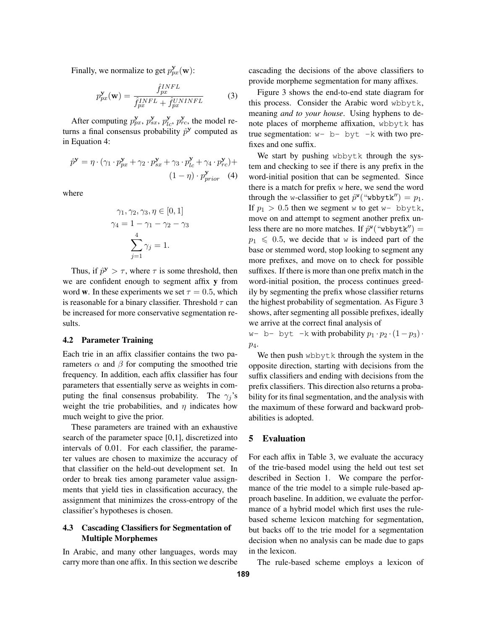Finally, we normalize to get  $p_{px}^{\mathbf{y}}(\mathbf{w})$ :

$$
p_{px}^{\mathbf{y}}(\mathbf{w}) = \frac{\hat{f}_{px}^{INFL}}{\hat{f}_{px}^{INFL} + \hat{f}_{px}^{UNINFL}}
$$
(3)

After computing  $p_{px}^{\mathbf{y}}, p_{sx}^{\mathbf{y}}, p_{lc}^{\mathbf{y}}, p_{rc}^{\mathbf{y}},$  the model returns a final consensus probability  $\hat{p}^y$  computed as in Equation 4:

$$
\hat{p}^{\mathbf{y}} = \eta \cdot (\gamma_1 \cdot p_{px}^{\mathbf{y}} + \gamma_2 \cdot p_{sx}^{\mathbf{y}} + \gamma_3 \cdot p_{lc}^{\mathbf{y}} + \gamma_4 \cdot p_{rc}^{\mathbf{y}}) +
$$

$$
(1 - \eta) \cdot p_{prior}^{\mathbf{y}} \tag{4}
$$

where

$$
\gamma_1, \gamma_2, \gamma_3, \eta \in [0, 1]
$$

$$
\gamma_4 = 1 - \gamma_1 - \gamma_2 - \gamma_3
$$

$$
\sum_{j=1}^4 \gamma_j = 1.
$$

Thus, if  $\hat{p}^y > \tau$ , where  $\tau$  is some threshold, then we are confident enough to segment affix y from word w. In these experiments we set  $\tau = 0.5$ , which is reasonable for a binary classifier. Threshold  $\tau$  can be increased for more conservative segmentation results.

### 4.2 Parameter Training

Each trie in an affix classifier contains the two parameters  $\alpha$  and  $\beta$  for computing the smoothed trie frequency. In addition, each affix classifier has four parameters that essentially serve as weights in computing the final consensus probability. The  $\gamma_i$ 's weight the trie probabilities, and  $\eta$  indicates how much weight to give the prior.

These parameters are trained with an exhaustive search of the parameter space [0,1], discretized into intervals of 0.01. For each classifier, the parameter values are chosen to maximize the accuracy of that classifier on the held-out development set. In order to break ties among parameter value assignments that yield ties in classification accuracy, the assignment that minimizes the cross-entropy of the classifier's hypotheses is chosen.

## 4.3 Cascading Classifiers for Segmentation of Multiple Morphemes

In Arabic, and many other languages, words may carry more than one affix. In this section we describe cascading the decisions of the above classifiers to provide morpheme segmentation for many affixes.

Figure 3 shows the end-to-end state diagram for this process. Consider the Arabic word wbbytk, meaning *and to your house*. Using hyphens to denote places of morpheme affixation, wbbytk has true segmentation:  $w - b - byt - k$  with two prefixes and one suffix.

We start by pushing wbbytk through the system and checking to see if there is any prefix in the word-initial position that can be segmented. Since there is a match for prefix w here, we send the word through the w-classifier to get  $\hat{p}^{\mathbf{w}}$  ("wbbytk") =  $p_1$ . If  $p_1 > 0.5$  then we segment w to get w- bbytk, move on and attempt to segment another prefix unless there are no more matches. If  $\hat{p}^w$  ("wbbytk") =  $p_1 \leq 0.5$ , we decide that w is indeed part of the base or stemmed word, stop looking to segment any more prefixes, and move on to check for possible suffixes. If there is more than one prefix match in the word-initial position, the process continues greedily by segmenting the prefix whose classifier returns the highest probability of segmentation. As Figure 3 shows, after segmenting all possible prefixes, ideally we arrive at the correct final analysis of

w- b- byt -k with probability  $p_1 \cdot p_2 \cdot (1-p_3)$ .  $p_4$ .

We then push wbbytk through the system in the opposite direction, starting with decisions from the suffix classifiers and ending with decisions from the prefix classifiers. This direction also returns a probability for its final segmentation, and the analysis with the maximum of these forward and backward probabilities is adopted.

#### 5 Evaluation

For each affix in Table 3, we evaluate the accuracy of the trie-based model using the held out test set described in Section 1. We compare the performance of the trie model to a simple rule-based approach baseline. In addition, we evaluate the performance of a hybrid model which first uses the rulebased scheme lexicon matching for segmentation, but backs off to the trie model for a segmentation decision when no analysis can be made due to gaps in the lexicon.

The rule-based scheme employs a lexicon of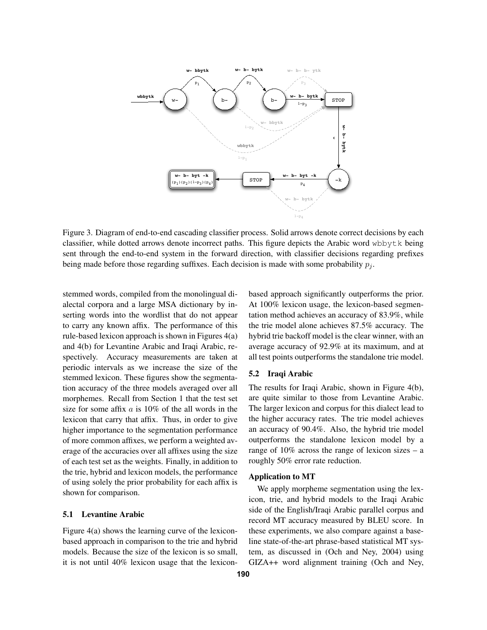

Figure 3. Diagram of end-to-end cascading classifier process. Solid arrows denote correct decisions by each classifier, while dotted arrows denote incorrect paths. This figure depicts the Arabic word wbbytk being sent through the end-to-end system in the forward direction, with classifier decisions regarding prefixes being made before those regarding suffixes. Each decision is made with some probability  $p_j$ .

stemmed words, compiled from the monolingual dialectal corpora and a large MSA dictionary by inserting words into the wordlist that do not appear to carry any known affix. The performance of this rule-based lexicon approach is shown in Figures 4(a) and 4(b) for Levantine Arabic and Iraqi Arabic, respectively. Accuracy measurements are taken at periodic intervals as we increase the size of the stemmed lexicon. These figures show the segmentation accuracy of the three models averaged over all morphemes. Recall from Section 1 that the test set size for some affix  $a$  is 10% of the all words in the lexicon that carry that affix. Thus, in order to give higher importance to the segmentation performance of more common affixes, we perform a weighted average of the accuracies over all affixes using the size of each test set as the weights. Finally, in addition to the trie, hybrid and lexicon models, the performance of using solely the prior probability for each affix is shown for comparison.

#### 5.1 Levantine Arabic

Figure 4(a) shows the learning curve of the lexiconbased approach in comparison to the trie and hybrid models. Because the size of the lexicon is so small, it is not until 40% lexicon usage that the lexiconbased approach significantly outperforms the prior. At 100% lexicon usage, the lexicon-based segmentation method achieves an accuracy of 83.9%, while the trie model alone achieves 87.5% accuracy. The hybrid trie backoff model is the clear winner, with an average accuracy of 92.9% at its maximum, and at all test points outperforms the standalone trie model.

#### 5.2 Iraqi Arabic

The results for Iraqi Arabic, shown in Figure 4(b), are quite similar to those from Levantine Arabic. The larger lexicon and corpus for this dialect lead to the higher accuracy rates. The trie model achieves an accuracy of 90.4%. Also, the hybrid trie model outperforms the standalone lexicon model by a range of  $10\%$  across the range of lexicon sizes – a roughly 50% error rate reduction.

## Application to MT

We apply morpheme segmentation using the lexicon, trie, and hybrid models to the Iraqi Arabic side of the English/Iraqi Arabic parallel corpus and record MT accuracy measured by BLEU score. In these experiments, we also compare against a baseline state-of-the-art phrase-based statistical MT system, as discussed in (Och and Ney, 2004) using GIZA++ word alignment training (Och and Ney,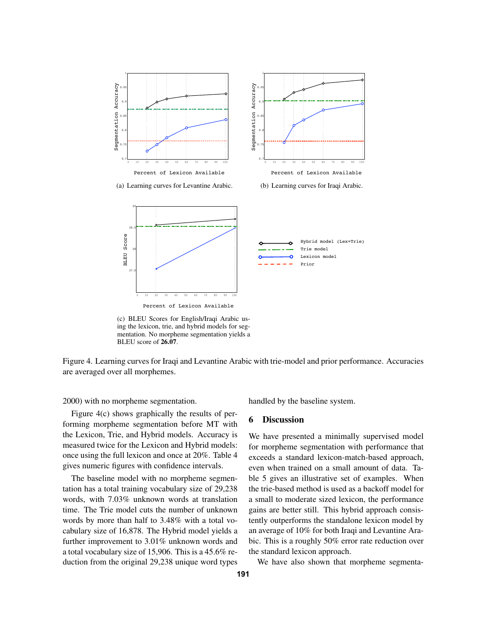





Percent of Lexicon Available

(c) BLEU Scores for English/Iraqi Arabic using the lexicon, trie, and hybrid models for segmentation. No morpheme segmentation yields a BLEU score of 26.07.

Figure 4. Learning curves for Iraqi and Levantine Arabic with trie-model and prior performance. Accuracies are averaged over all morphemes.

2000) with no morpheme segmentation.

Figure 4(c) shows graphically the results of performing morpheme segmentation before MT with the Lexicon, Trie, and Hybrid models. Accuracy is measured twice for the Lexicon and Hybrid models: once using the full lexicon and once at 20%. Table 4 gives numeric figures with confidence intervals.

The baseline model with no morpheme segmentation has a total training vocabulary size of 29,238 words, with 7.03% unknown words at translation time. The Trie model cuts the number of unknown words by more than half to 3.48% with a total vocabulary size of 16,878. The Hybrid model yields a further improvement to 3.01% unknown words and a total vocabulary size of 15,906. This is a 45.6% reduction from the original 29,238 unique word types

handled by the baseline system.

#### 6 Discussion

We have presented a minimally supervised model for morpheme segmentation with performance that exceeds a standard lexicon-match-based approach, even when trained on a small amount of data. Table 5 gives an illustrative set of examples. When the trie-based method is used as a backoff model for a small to moderate sized lexicon, the performance gains are better still. This hybrid approach consistently outperforms the standalone lexicon model by an average of 10% for both Iraqi and Levantine Arabic. This is a roughly 50% error rate reduction over the standard lexicon approach.

We have also shown that morpheme segmenta-